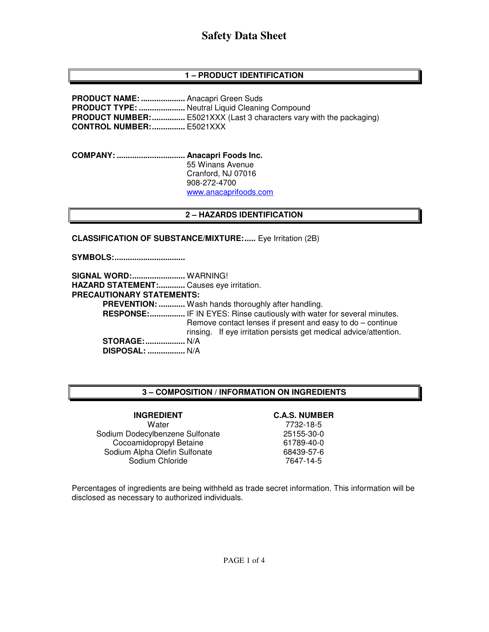# **Safety Data Sheet**

## **1 – PRODUCT IDENTIFICATION**

**PRODUCT NAME: ....................** Anacapri Green Suds **PRODUCT TYPE: .....................** Neutral Liquid Cleaning Compound **PRODUCT NUMBER: ...............** E5021XXX (Last 3 characters vary with the packaging) **CONTROL NUMBER: ...............** E5021XXX

**COMPANY: ............................... Anacapri Foods Inc.** 55 Winans Avenue Cranford, NJ 07016 908-272-4700 www.anacaprifoods.com

### **2 – HAZARDS IDENTIFICATION**

**CLASSIFICATION OF SUBSTANCE/MIXTURE:.....** Eye Irritation (2B)

**SYMBOLS: ................................** 

**SIGNAL WORD: ........................** WARNING! **HAZARD STATEMENT: ............** Causes eye irritation. **PRECAUTIONARY STATEMENTS: PREVENTION: ............** Wash hands thoroughly after handling.  **RESPONSE: ................** IF IN EYES: Rinse cautiously with water for several minutes. Remove contact lenses if present and easy to do – continue rinsing. If eye irritation persists get medical advice/attention. **STORAGE: ..................** N/A  **DISPOSAL: .................** N/A

### **3 – COMPOSITION / INFORMATION ON INGREDIENTS**

#### Water 7732-18-5 Sodium Dodecylbenzene Sulfonate Cocoamidopropyl Betaine 61789-40-0 Sodium Alpha Olefin Sulfonate 68439-57-6 Sodium Chloride 7647-14-5

#### **INGREDIENT C.A.S. NUMBER**

Percentages of ingredients are being withheld as trade secret information. This information will be disclosed as necessary to authorized individuals.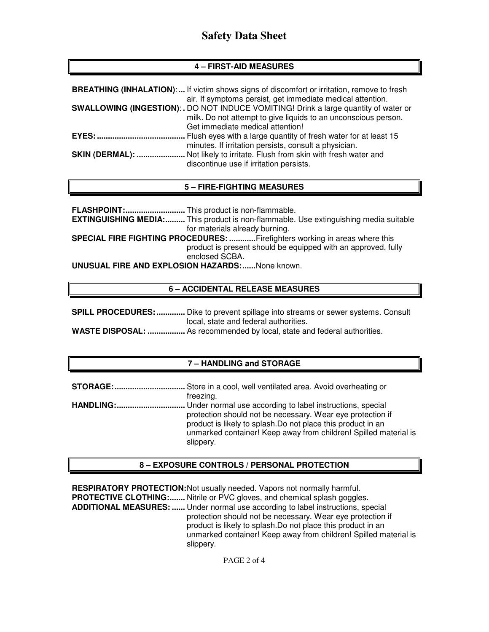# **4 – FIRST-AID MEASURES**

|              | <b>BREATHING (INHALATION):</b> If victim shows signs of discomfort or irritation, remove to fresh |
|--------------|---------------------------------------------------------------------------------------------------|
|              | air. If symptoms persist, get immediate medical attention.                                        |
|              | <b>SWALLOWING (INGESTION):.</b> DO NOT INDUCE VOMITING! Drink a large quantity of water or        |
|              | milk. Do not attempt to give liquids to an unconscious person.                                    |
|              | Get immediate medical attention!                                                                  |
| <b>EYES:</b> | . Flush eyes with a large quantity of fresh water for at least 15                                 |
|              | minutes. If irritation persists, consult a physician.                                             |
|              | SKIN (DERMAL):  Not likely to irritate. Flush from skin with fresh water and                      |
|              | discontinue use if irritation persists.                                                           |

## **5 – FIRE-FIGHTING MEASURES**

**FLASHPOINT: ...........................** This product is non-flammable. **EXTINGUISHING MEDIA:.........** This product is non-flammable. Use extinguishing media suitable for materials already burning. **SPECIAL FIRE FIGHTING PROCEDURES: ............** Firefighters working in areas where this product is present should be equipped with an approved, fully enclosed SCBA. **UNUSUAL FIRE AND EXPLOSION HAZARDS: ......** None known.

## **6 – ACCIDENTAL RELEASE MEASURES**

| <b>SPILL PROCEDURES: </b> Dike to prevent spillage into streams or sewer systems. Consult |  |
|-------------------------------------------------------------------------------------------|--|
| local, state and federal authorities.                                                     |  |
| <b>WASTE DISPOSAL: </b> As recommended by local, state and federal authorities.           |  |

## **7 – HANDLING and STORAGE**

| <b>STORAGE:</b>  | Store in a cool, well ventilated area. Avoid overheating or                                                                                                                                                 |
|------------------|-------------------------------------------------------------------------------------------------------------------------------------------------------------------------------------------------------------|
|                  | freezing.                                                                                                                                                                                                   |
| <b>HANDLING:</b> | Under normal use according to label instructions, special                                                                                                                                                   |
|                  | protection should not be necessary. Wear eye protection if<br>product is likely to splash. Do not place this product in an<br>unmarked container! Keep away from children! Spilled material is<br>slippery. |

## **8 – EXPOSURE CONTROLS / PERSONAL PROTECTION**

**RESPIRATORY PROTECTION: Not usually needed. Vapors not normally harmful. PROTECTIVE CLOTHING:.......** Nitrile or PVC gloves, and chemical splash goggles. **ADDITIONAL MEASURES: ......** Under normal use according to label instructions, special protection should not be necessary. Wear eye protection if product is likely to splash.Do not place this product in an unmarked container! Keep away from children! Spilled material is slippery.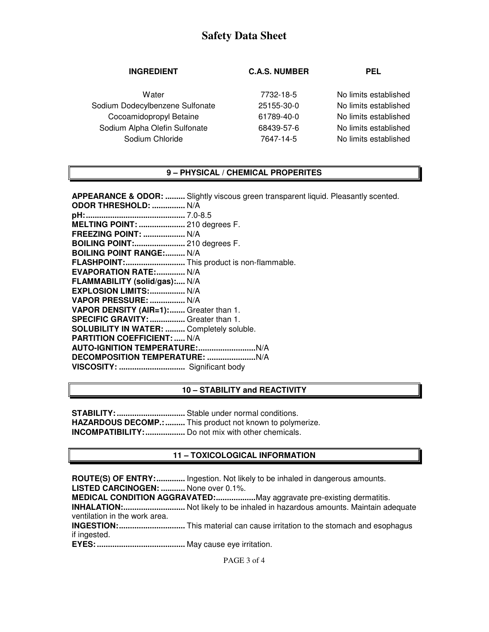# **Safety Data Sheet**

| <b>C.A.S. NUMBER</b> | <b>PEL</b>            |
|----------------------|-----------------------|
| 7732-18-5            | No limits established |
| 25155-30-0           | No limits established |
| 61789-40-0           | No limits established |
| 68439-57-6           | No limits established |
| 7647-14-5            | No limits established |
|                      |                       |

## **9 – PHYSICAL / CHEMICAL PROPERITES**

| <b>APPEARANCE &amp; ODOR: </b> Slightly viscous green transparent liquid. Pleasantly scented. |
|-----------------------------------------------------------------------------------------------|
| <b>ODOR THRESHOLD:  N/A</b>                                                                   |
|                                                                                               |
| <b>MELTING POINT:  210 degrees F.</b>                                                         |
| <b>FREEZING POINT:  N/A</b>                                                                   |
| <b>BOILING POINT: 210 degrees F.</b>                                                          |
| <b>BOILING POINT RANGE: N/A</b>                                                               |
| FLASHPOINT: This product is non-flammable.                                                    |
| <b>EVAPORATION RATE: N/A</b>                                                                  |
| FLAMMABILITY (solid/gas): N/A                                                                 |
| <b>EXPLOSION LIMITS:  N/A</b>                                                                 |
| VAPOR PRESSURE:  N/A                                                                          |
| VAPOR DENSITY (AIR=1): Greater than 1.                                                        |
| SPECIFIC GRAVITY:  Greater than 1.                                                            |
| <b>SOLUBILITY IN WATER:  Completely soluble.</b>                                              |
| <b>PARTITION COEFFICIENT:  N/A</b>                                                            |
|                                                                                               |
|                                                                                               |
|                                                                                               |

#### **10 – STABILITY and REACTIVITY**

**STABILITY: ...............................** Stable under normal conditions. **HAZARDOUS DECOMP.: .........** This product not known to polymerize. **INCOMPATIBILITY: ..................** Do not mix with other chemicals.

### **11 – TOXICOLOGICAL INFORMATION**

**ROUTE(S) OF ENTRY: .............** Ingestion. Not likely to be inhaled in dangerous amounts. **LISTED CARCINOGEN: ...........** None over 0.1%.

**MEDICAL CONDITION AGGRAVATED: ..................** May aggravate pre-existing dermatitis.

**INHALATION: ............................** Not likely to be inhaled in hazardous amounts. Maintain adequate ventilation in the work area.

**INGESTION: ..............................** This material can cause irritation to the stomach and esophagus if ingested.

**EYES: ........................................** May cause eye irritation.

PAGE 3 of 4